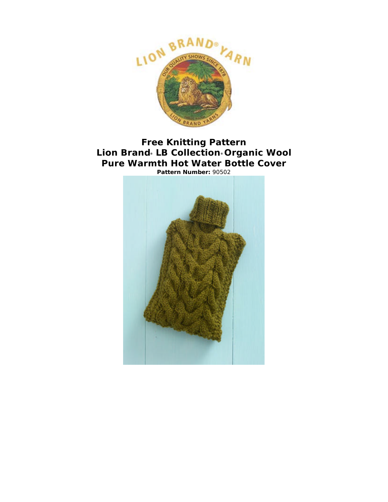

# **Free Knitting Pattern Lion Brand® LB Collection® Organic Wool Pure Warmth Hot Water Bottle Cover Pattern Number:** 90502

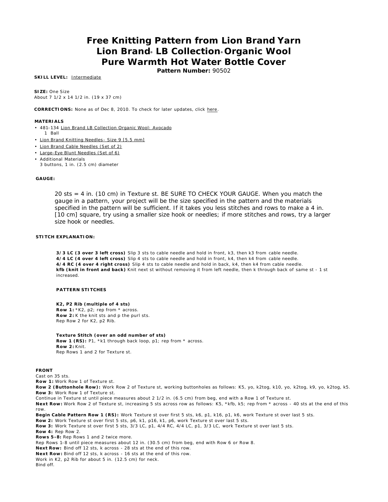# **Free Knitting Pattern from Lion Brand Yarn Lion Brand® LB Collection® Organic Wool Pure Warmth Hot Water Bottle Cover**

**Pattern Number:** 90502

### **SKILL LEVEL:** Intermediate

**SIZE:** One Size About 7 1/2 x 14 1/2 in. (19 x 37 cm)

**CORRECTIONS:** None as of Dec 8, 2010. To check for later updates, click here.

#### **MATERIALS**

- 481-134 Lion Brand LB Collection Organic Wool: Avocado
- 1 Ball
- Lion Brand Knitting Needles Size 9 [5.5 mm]
- Lion Brand Cable Needles (Set of 2)
- Large-Eye Blunt Needles (Set of 6)
- Additional Materials 3 buttons, 1 in. (2.5 cm) diameter

#### **GAUGE:**

20 sts = 4 in. (10 cm) in Texture st. BE SURE TO CHECK YOUR GAUGE. When you match the gauge in a pattern, your project will be the size specified in the pattern and the materials specified in the pattern will be sufficient. If it takes you less stitches and rows to make a 4 in. [10 cm] square, try using a smaller size hook or needles; if more stitches and rows, try a larger size hook or needles.

#### **STITCH EXPLANATION:**

**3/3 LC (3 over 3 left cross)** Slip 3 sts to cable needle and hold in front, k3, then k3 from cable needle. **4/4 LC (4 over 4 left cross)** Slip 4 sts to cable needle and hold in front, k4, then k4 from cable needle. **4/4 RC (4 over 4 right cross)** Slip 4 sts to cable needle and hold in back, k4, then k4 from cable needle. **kfb (knit in front and back)** Knit next st without removing it from left needle, then k through back of same st - 1 st increased.

#### **PATTERN STITCHES**

#### **K2, P2 Rib (multiple of 4 sts)**

**Row 1:** \*K2, p2; rep from \* across. **Row 2:** K the knit sts and p the purl sts. Rep Row 2 for K2, p2 Rib.

**Texture Stitch (over an odd number of sts) Row 1 (RS):** P1, \*k1 through back loop, p1; rep from \* across. **Row 2:** Knit. Rep Rows 1 and 2 for Texture st.

#### **FRONT**

Cast on 35 sts.

**Row 1:** Work Row 1 of Texture st.

**Row 2 (Buttonhole Row):** Work Row 2 of Texture st, working buttonholes as follows: K5, yo, k2tog, k10, yo, k2tog, k9, yo, k2tog, k5. **Row 3:** Work Row 1 of Texture st.

Continue in Texture st until piece measures about 2 1/2 in. (6.5 cm) from beg, end with a Row 1 of Texture st.

**Next Row:** Work Row 2 of Texture st, increasing 5 sts across row as follows: K5, \*kfb, k5; rep from \* across - 40 sts at the end of this row.

**Begin Cable Pattern Row 1 (RS):** Work Texture st over first 5 sts, k6, p1, k16, p1, k6, work Texture st over last 5 sts.

**Row 2:** Work Texture st over first 5 sts, p6, k1, p16, k1, p6, work Texture st over last 5 sts.

**Row 3:** Work Texture st over first 5 sts, 3/3 LC, p1, 4/4 RC, 4/4 LC, p1, 3/3 LC, work Texture st over last 5 sts.

**Row 4:** Rep Row 2.

**Rows 5-8:** Rep Rows 1 and 2 twice more.

Rep Rows 1-8 until piece measures about 12 in. (30.5 cm) from beg, end with Row 6 or Row 8.

**Next Row:** Bind off 12 sts, k across - 28 sts at the end of this row.

**Next Row:** Bind off 12 sts, k across - 16 sts at the end of this row.

Work in K2, p2 Rib for about 5 in. (12.5 cm) for neck.

Bind off.